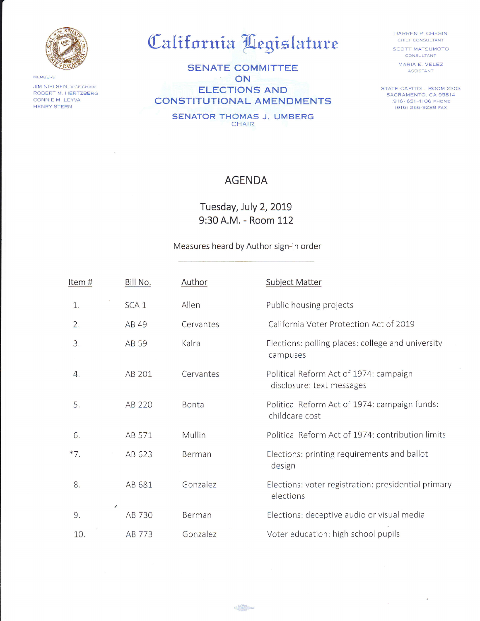

JIM NIELSEN, VICE CHAIR ROBERT M. HERTZBERG CONNIE M. LEYVA HENRY STERN

## California Legislature

SENATE COMMITTEE ON ELECTIONS AND CONSTITUTIONAL AMENDMENTS

SENATOR THOMAS J. UMBERG CHAIR

DARREN P. CHESIN CHIEF CONSULTANT SCOTT MATSUMOTO CONSULTANT

MARIA E. VELEZ ASSISTANT

STATE CAPITOL. ROOM 2203 SACRAMENTO, CA 95814 (916) 651-41O6 PHoNE (9161 266'9289 FAX

## **AGENDA**

Tuesday, July 2, 2019 9:30 A.M. - Room 112

## Measures heard by Author sign-in order

| Item#   | Bill No.         | Author    | <b>Subject Matter</b>                                               |
|---------|------------------|-----------|---------------------------------------------------------------------|
| 1.      | SCA <sub>1</sub> | Allen     | Public housing projects                                             |
| 2.      | AB 49            | Cervantes | California Voter Protection Act of 2019                             |
| 3.      | AB 59            | Kalra     | Elections: polling places: college and university<br>campuses       |
| 4.      | AB 201           | Cervantes | Political Reform Act of 1974: campaign<br>disclosure: text messages |
| 5.      | AB 220           | Bonta     | Political Reform Act of 1974: campaign funds:<br>childcare cost     |
| 6.      | AB 571           | Mullin    | Political Reform Act of 1974: contribution limits                   |
| $*7.$   | AB 623           | Berman    | Elections: printing requirements and ballot<br>design               |
| 8.      | AB 681           | Gonzalez  | Elections: voter registration: presidential primary<br>elections    |
| v<br>9. | AB 730           | Berman    | Elections: deceptive audio or visual media                          |
| 10.     | AB 773           | Gonzalez  | Voter education: high school pupils                                 |

 $\overbrace{ }$